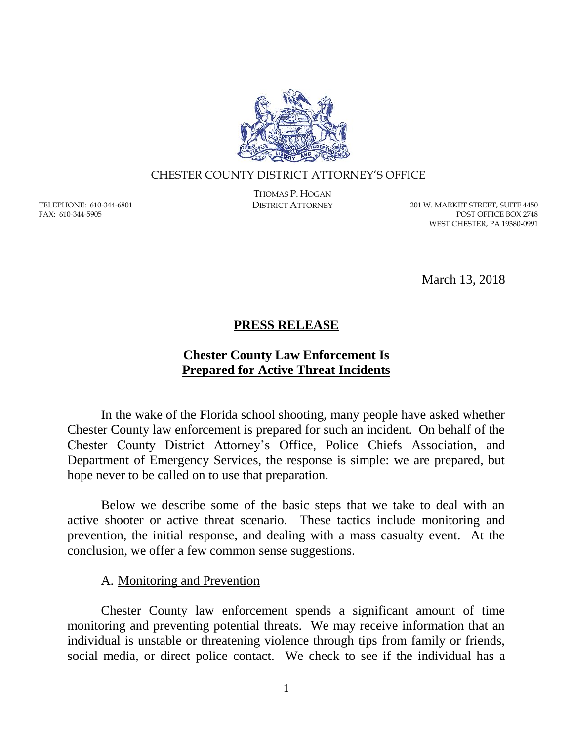

#### CHESTER COUNTY DISTRICT ATTORNEY'S OFFICE

TELEPHONE: 610-344-6801 FAX: 610-344-5905

THOMAS P. HOGAN

DISTRICT ATTORNEY 201 W. MARKET STREET, SUITE 4450 POST OFFICE BOX 2748 WEST CHESTER, PA 19380-0991

March 13, 2018

## **PRESS RELEASE**

# **Chester County Law Enforcement Is Prepared for Active Threat Incidents**

In the wake of the Florida school shooting, many people have asked whether Chester County law enforcement is prepared for such an incident. On behalf of the Chester County District Attorney's Office, Police Chiefs Association, and Department of Emergency Services, the response is simple: we are prepared, but hope never to be called on to use that preparation.

Below we describe some of the basic steps that we take to deal with an active shooter or active threat scenario. These tactics include monitoring and prevention, the initial response, and dealing with a mass casualty event. At the conclusion, we offer a few common sense suggestions.

## A. Monitoring and Prevention

Chester County law enforcement spends a significant amount of time monitoring and preventing potential threats. We may receive information that an individual is unstable or threatening violence through tips from family or friends, social media, or direct police contact. We check to see if the individual has a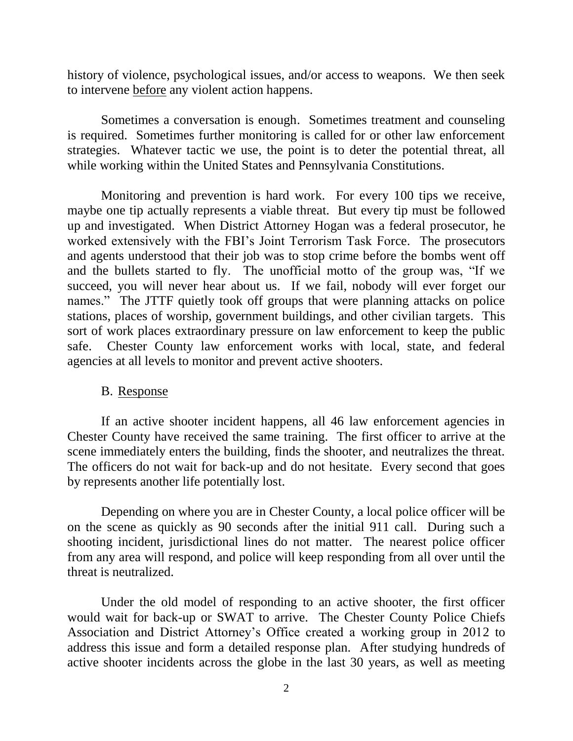history of violence, psychological issues, and/or access to weapons. We then seek to intervene before any violent action happens.

Sometimes a conversation is enough. Sometimes treatment and counseling is required. Sometimes further monitoring is called for or other law enforcement strategies. Whatever tactic we use, the point is to deter the potential threat, all while working within the United States and Pennsylvania Constitutions.

Monitoring and prevention is hard work. For every 100 tips we receive, maybe one tip actually represents a viable threat. But every tip must be followed up and investigated. When District Attorney Hogan was a federal prosecutor, he worked extensively with the FBI's Joint Terrorism Task Force. The prosecutors and agents understood that their job was to stop crime before the bombs went off and the bullets started to fly. The unofficial motto of the group was, "If we succeed, you will never hear about us. If we fail, nobody will ever forget our names." The JTTF quietly took off groups that were planning attacks on police stations, places of worship, government buildings, and other civilian targets. This sort of work places extraordinary pressure on law enforcement to keep the public safe. Chester County law enforcement works with local, state, and federal agencies at all levels to monitor and prevent active shooters.

#### B. Response

If an active shooter incident happens, all 46 law enforcement agencies in Chester County have received the same training. The first officer to arrive at the scene immediately enters the building, finds the shooter, and neutralizes the threat. The officers do not wait for back-up and do not hesitate. Every second that goes by represents another life potentially lost.

Depending on where you are in Chester County, a local police officer will be on the scene as quickly as 90 seconds after the initial 911 call. During such a shooting incident, jurisdictional lines do not matter. The nearest police officer from any area will respond, and police will keep responding from all over until the threat is neutralized.

Under the old model of responding to an active shooter, the first officer would wait for back-up or SWAT to arrive. The Chester County Police Chiefs Association and District Attorney's Office created a working group in 2012 to address this issue and form a detailed response plan. After studying hundreds of active shooter incidents across the globe in the last 30 years, as well as meeting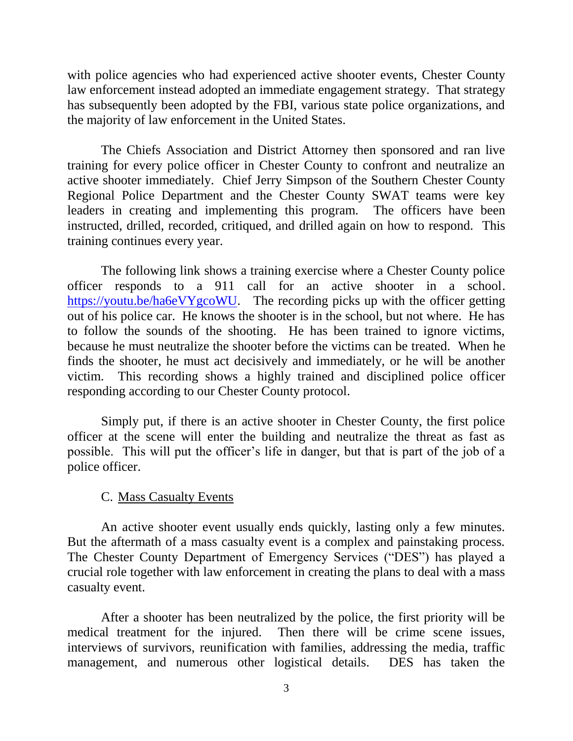with police agencies who had experienced active shooter events, Chester County law enforcement instead adopted an immediate engagement strategy. That strategy has subsequently been adopted by the FBI, various state police organizations, and the majority of law enforcement in the United States.

The Chiefs Association and District Attorney then sponsored and ran live training for every police officer in Chester County to confront and neutralize an active shooter immediately. Chief Jerry Simpson of the Southern Chester County Regional Police Department and the Chester County SWAT teams were key leaders in creating and implementing this program. The officers have been instructed, drilled, recorded, critiqued, and drilled again on how to respond. This training continues every year.

The following link shows a training exercise where a Chester County police officer responds to a 911 call for an active shooter in a school. [https://youtu.be/ha6eVYgcoWU.](https://youtu.be/ha6eVYgcoWU) The recording picks up with the officer getting out of his police car. He knows the shooter is in the school, but not where. He has to follow the sounds of the shooting. He has been trained to ignore victims, because he must neutralize the shooter before the victims can be treated. When he finds the shooter, he must act decisively and immediately, or he will be another victim. This recording shows a highly trained and disciplined police officer responding according to our Chester County protocol.

Simply put, if there is an active shooter in Chester County, the first police officer at the scene will enter the building and neutralize the threat as fast as possible. This will put the officer's life in danger, but that is part of the job of a police officer.

#### C. Mass Casualty Events

An active shooter event usually ends quickly, lasting only a few minutes. But the aftermath of a mass casualty event is a complex and painstaking process. The Chester County Department of Emergency Services ("DES") has played a crucial role together with law enforcement in creating the plans to deal with a mass casualty event.

After a shooter has been neutralized by the police, the first priority will be medical treatment for the injured. Then there will be crime scene issues, interviews of survivors, reunification with families, addressing the media, traffic management, and numerous other logistical details. DES has taken the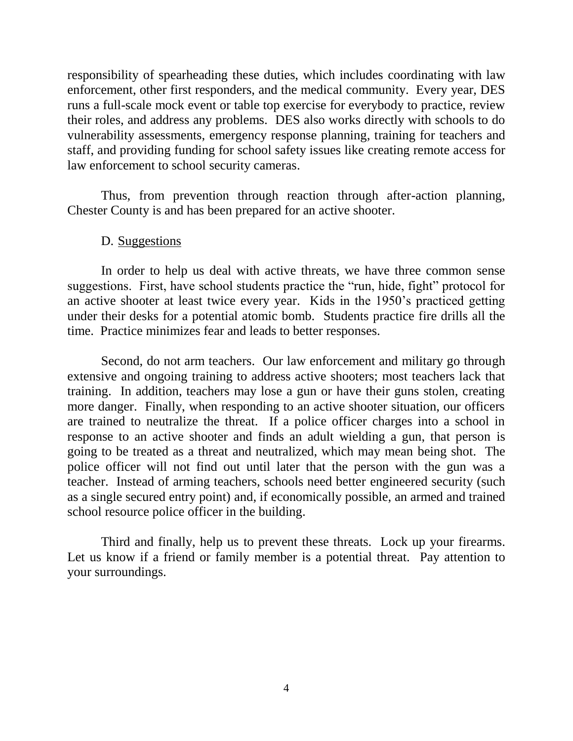responsibility of spearheading these duties, which includes coordinating with law enforcement, other first responders, and the medical community. Every year, DES runs a full-scale mock event or table top exercise for everybody to practice, review their roles, and address any problems. DES also works directly with schools to do vulnerability assessments, emergency response planning, training for teachers and staff, and providing funding for school safety issues like creating remote access for law enforcement to school security cameras.

Thus, from prevention through reaction through after-action planning, Chester County is and has been prepared for an active shooter.

## D. Suggestions

In order to help us deal with active threats, we have three common sense suggestions. First, have school students practice the "run, hide, fight" protocol for an active shooter at least twice every year. Kids in the 1950's practiced getting under their desks for a potential atomic bomb. Students practice fire drills all the time. Practice minimizes fear and leads to better responses.

Second, do not arm teachers. Our law enforcement and military go through extensive and ongoing training to address active shooters; most teachers lack that training. In addition, teachers may lose a gun or have their guns stolen, creating more danger. Finally, when responding to an active shooter situation, our officers are trained to neutralize the threat. If a police officer charges into a school in response to an active shooter and finds an adult wielding a gun, that person is going to be treated as a threat and neutralized, which may mean being shot. The police officer will not find out until later that the person with the gun was a teacher. Instead of arming teachers, schools need better engineered security (such as a single secured entry point) and, if economically possible, an armed and trained school resource police officer in the building.

Third and finally, help us to prevent these threats. Lock up your firearms. Let us know if a friend or family member is a potential threat. Pay attention to your surroundings.